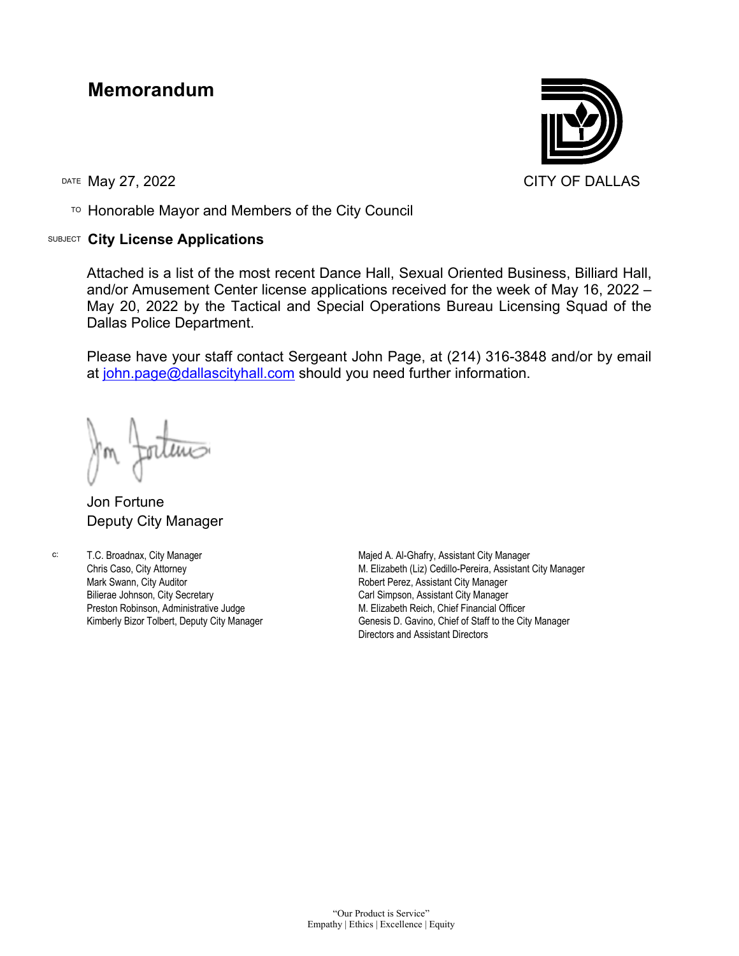## **Memorandum**

TO Honorable Mayor and Members of the City Council

## SUBJECT **City License Applications**



Attached is a list of the most recent Dance Hall, Sexual Oriented Business, Billiard Hall, and/or Amusement Center license applications received for the week of May 16, 2022 – May 20, 2022 by the Tactical and Special Operations Bureau Licensing Squad of the Dallas Police Department.

Please have your staff contact Sergeant John Page, at (214) 316-3848 and/or by email at [john.page@dallascityhall.com](mailto:john.page@dallascityhall.com) should you need further information.

Jon Fortune Deputy City Manager

c: T.C. Broadnax, City Manager Chris Caso, City Attorney Mark Swann, City Auditor Bilierae Johnson, City Secretary Preston Robinson, Administrative Judge

Kimberly Bizor Tolbert, Deputy City Manager

Majed A. Al-Ghafry, Assistant City Manager M. Elizabeth (Liz) Cedillo-Pereira, Assistant City Manager Robert Perez, Assistant City Manager Carl Simpson, Assistant City Manager M. Elizabeth Reich, Chief Financial Officer Genesis D. Gavino, Chief of Staff to the City Manager Directors and Assistant Directors